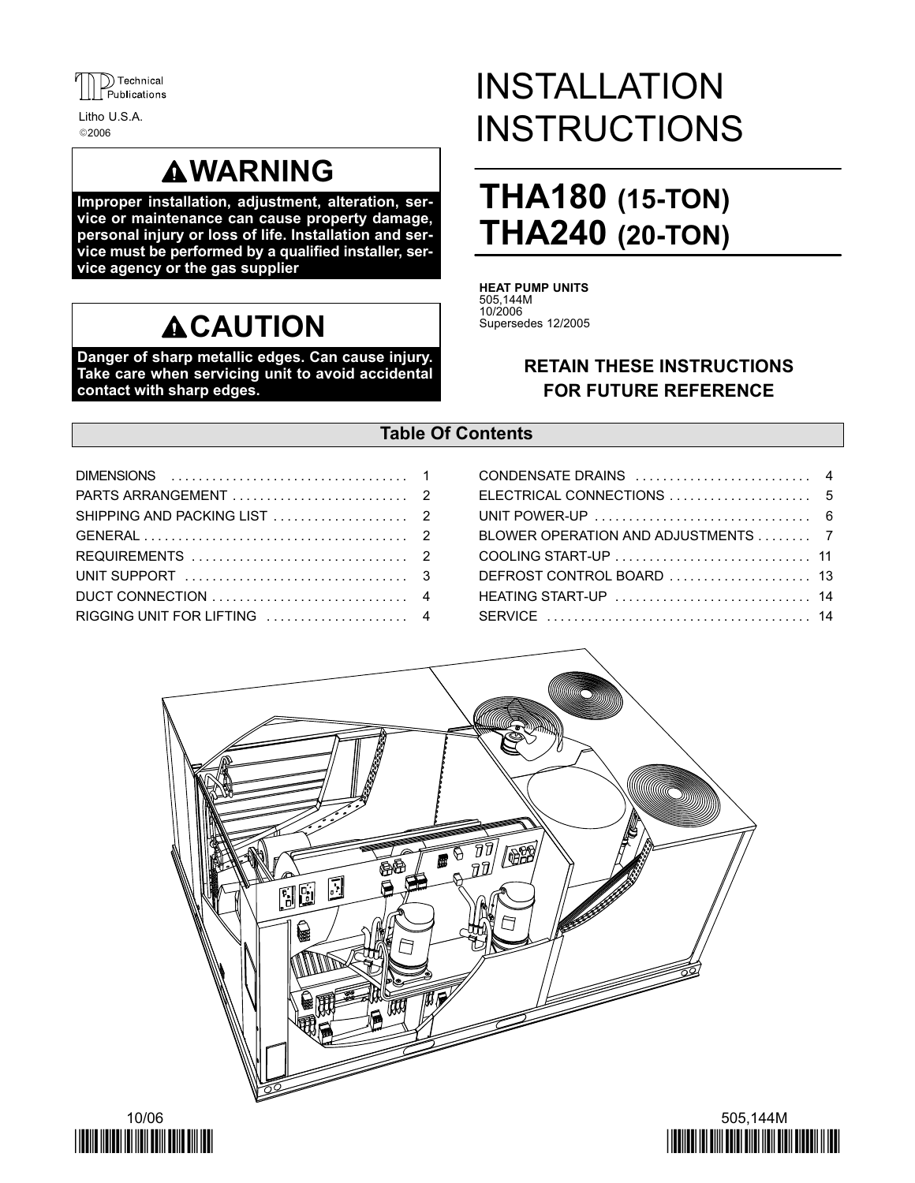

2006 Litho U.S.A.

## **AWARNING**

Improper installation, adjustment, alteration, service or maintenance can cause property damage, personal injury or loss of life. Installation and service must be performed by a qualified installer, service agency or the gas supplier

## **ACAUTION**

Danger of sharp metallic edges. Can cause injury. Take care when servicing unit to avoid accidental contact with sharp edges.

# INSTALLATION **INSTRUCTIONS**

## THA180 (15-TON) THA240 (20-TON)

HEAT PUMP UNITS 505,144M 10/2006 Supersedes 12/2005

## RETAIN THESE INSTRUCTIONS FOR FUTURE REFERENCE

## Table Of Contents

| UNIT POWER-UP $\ldots, \ldots, \ldots, \ldots, \ldots, \ldots, \ldots, 6$ |  |
|---------------------------------------------------------------------------|--|
| BLOWER OPERATION AND ADJUSTMENTS 7                                        |  |
|                                                                           |  |
|                                                                           |  |
|                                                                           |  |
|                                                                           |  |





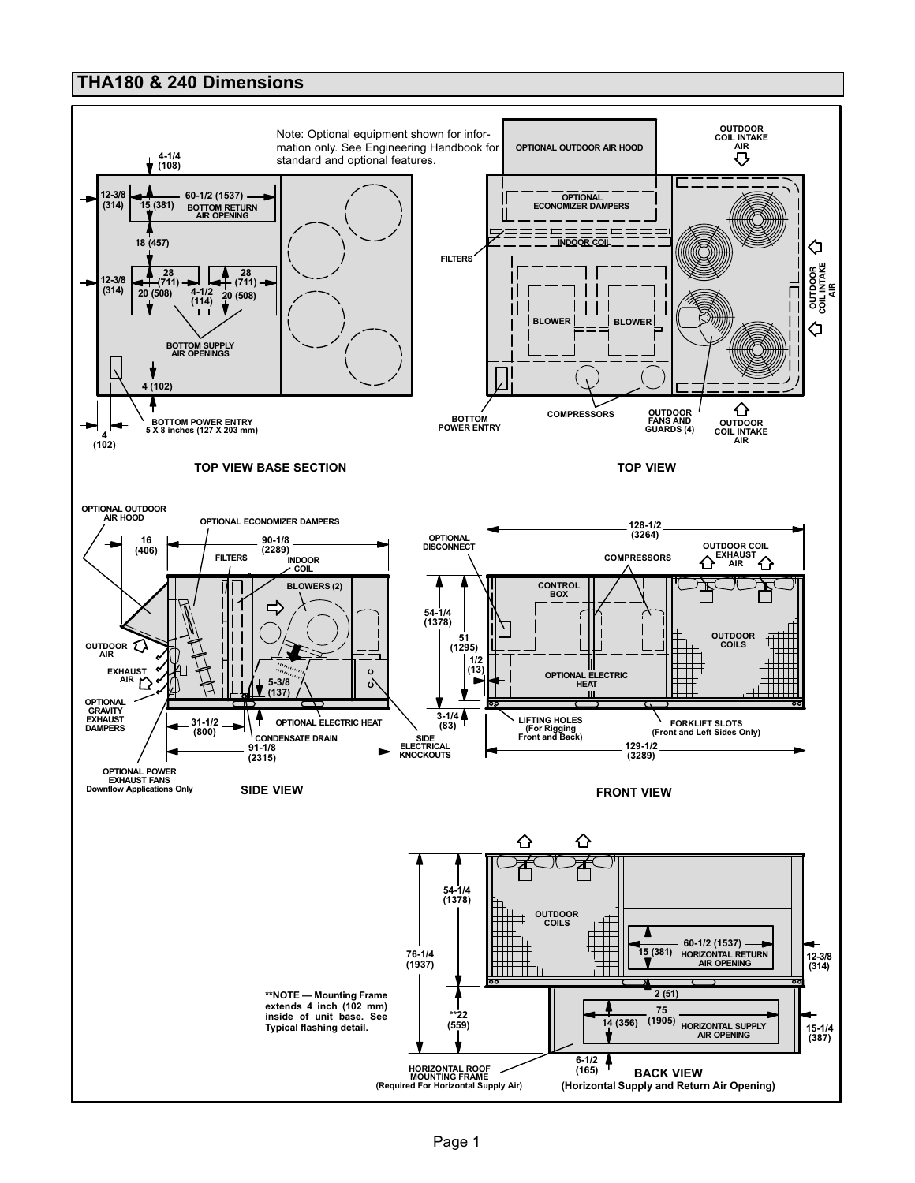### THA180 & 240 Dimensions

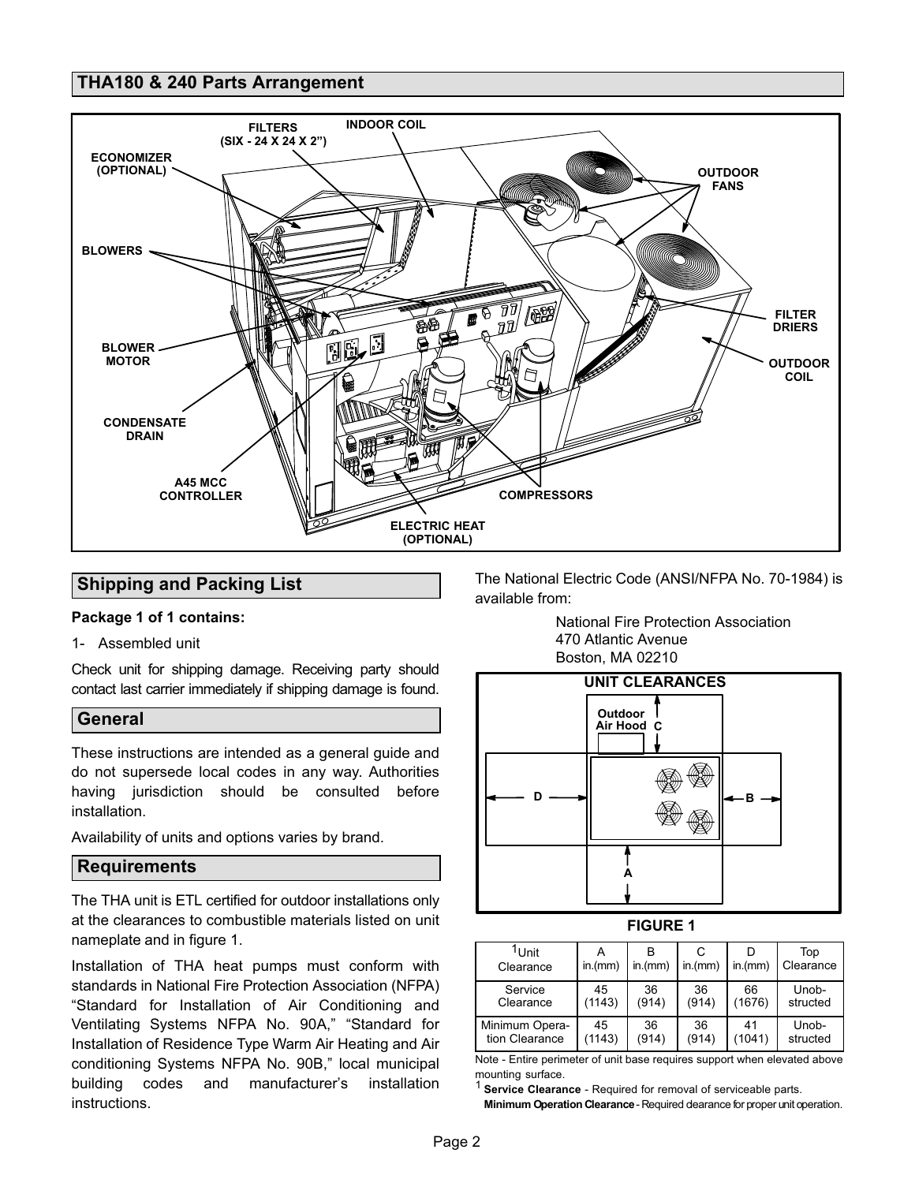### <span id="page-2-0"></span>THA180 & 240 Parts Arrangement



## Shipping and Packing List

#### Package 1 of 1 contains:

1− Assembled unit

Check unit for shipping damage. Receiving party should contact last carrier immediately if shipping damage is found.

#### General

These instructions are intended as a general guide and do not supersede local codes in any way. Authorities having jurisdiction should be consulted before installation.

Availability of units and options varies by brand.

#### **Requirements**

The THA unit is ETL certified for outdoor installations only at the clearances to combustible materials listed on unit nameplate and in figure 1.

Installation of THA heat pumps must conform with standards in National Fire Protection Association (NFPA) Standard for Installation of Air Conditioning and Ventilating Systems NFPA No. 90A," "Standard for Installation of Residence Type Warm Air Heating and Air conditioning Systems NFPA No. 90B," local municipal building codes and manufacturer's installation instructions.

The National Electric Code (ANSI/NFPA No. 70−1984) is available from:

National Fire Protection Association 470 Atlantic Avenue Boston, MA 02210



#### FIGURE 1

| <sup>I</sup> Unit<br>Clearance | in.(mm) | in.(mm) | in.(mm) | in.(mm) | Top<br>Clearance |
|--------------------------------|---------|---------|---------|---------|------------------|
| Service                        | 45      | 36      | 36      | 66      | Unob-            |
| Clearance                      | (1143)  | (914)   | (914)   | (1676)  | structed         |
| Minimum Opera-                 | 45      | 36      | 36      | 41      | Unob-            |
| tion Clearance                 | (1143)  | (914)   | (914)   | (1041)  | structed         |

Note − Entire perimeter of unit base requires support when elevated above mounting surface.

<sup>1</sup> Service Clearance - Required for removal of serviceable parts. Minimum Operation Clearance - Required dearance for proper unit operation.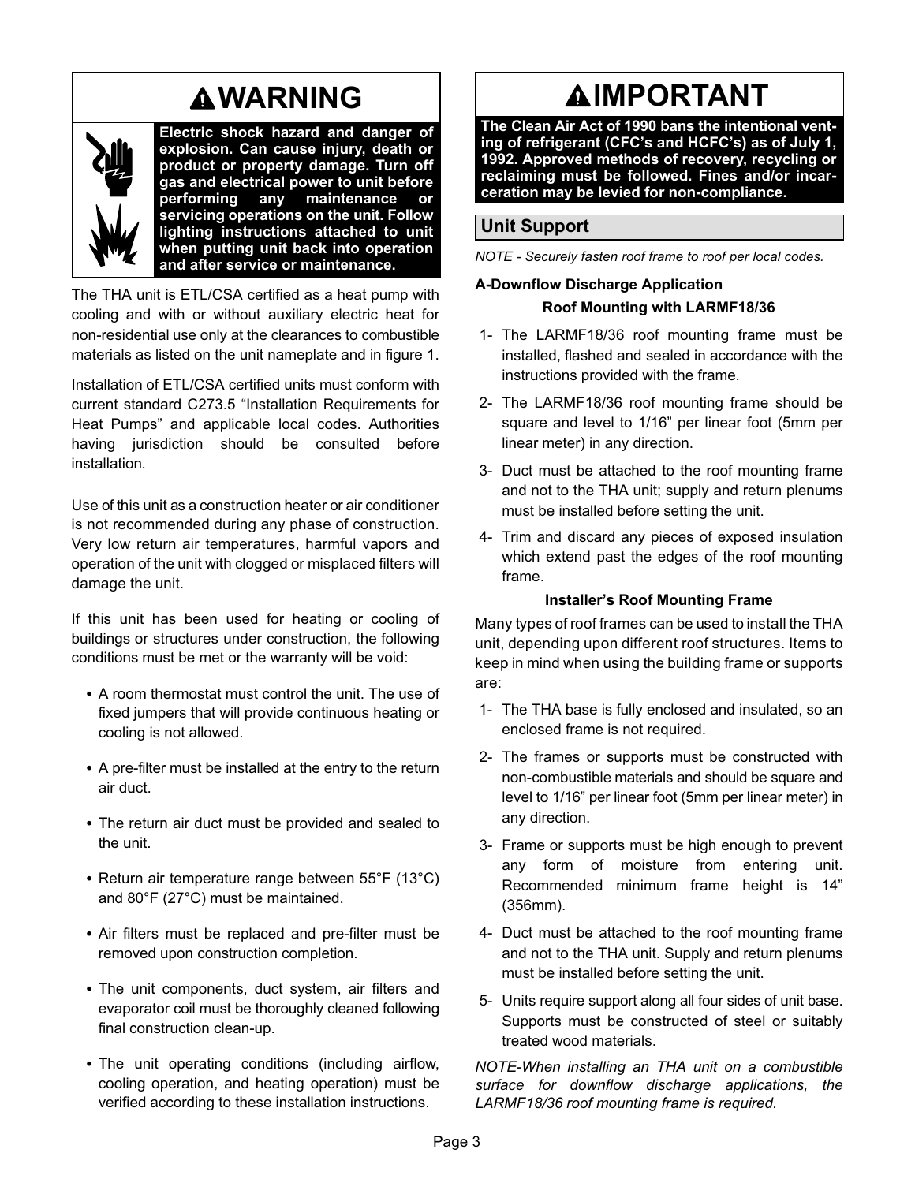## WARNING



Electric shock hazard and danger of explosion. Can cause injury, death or product or property damage. Turn off gas and electrical power to unit before<br>performing any maintenance or performing any maintenance or servicing operations on the unit. Follow lighting instructions attached to unit when putting unit back into operation and after service or maintenance.

The THA unit is ETL/CSA certified as a heat pump with cooling and with or without auxiliary electric heat for non−residential use only at the clearances to combustible materials as listed on the unit nameplate and in figure [1](#page-2-0).

Installation of ETL/CSA certified units must conform with current standard C273.5 "Installation Requirements for Heat Pumps" and applicable local codes. Authorities having jurisdiction should be consulted before installation.

Use of this unit as a construction heater or air conditioner is not recommended during any phase of construction. Very low return air temperatures, harmful vapors and operation of the unit with clogged or misplaced filters will damage the unit.

If this unit has been used for heating or cooling of buildings or structures under construction, the following conditions must be met or the warranty will be void:

- A room thermostat must control the unit. The use of fixed jumpers that will provide continuous heating or cooling is not allowed.
- A pre−filter must be installed at the entry to the return air duct.
- The return air duct must be provided and sealed to the unit.
- Return air temperature range between 55°F (13°C) and 80°F (27°C) must be maintained.
- Air filters must be replaced and pre−filter must be removed upon construction completion.
- The unit components, duct system, air filters and evaporator coil must be thoroughly cleaned following final construction clean−up.
- The unit operating conditions (including airflow, cooling operation, and heating operation) must be verified according to these installation instructions.

## **AIMPORTANT**

The Clean Air Act of 1990 bans the intentional venting of refrigerant (CFC's and HCFC's) as of July 1, 1992. Approved methods of recovery, recycling or reclaiming must be followed. Fines and/or incarceration may be levied for non−compliance.

## Unit Support

NOTE − Securely fasten roof frame to roof per local codes.

## A−Downflow Discharge Application Roof Mounting with LARMF18/36

- 1− The LARMF18/36 roof mounting frame must be installed, flashed and sealed in accordance with the instructions provided with the frame.
- 2− The LARMF18/36 roof mounting frame should be square and level to 1/16" per linear foot (5mm per linear meter) in any direction.
- 3− Duct must be attached to the roof mounting frame and not to the THA unit; supply and return plenums must be installed before setting the unit.
- 4− Trim and discard any pieces of exposed insulation which extend past the edges of the roof mounting frame.

#### Installer's Roof Mounting Frame

Many types of roof frames can be used to install the THA unit, depending upon different roof structures. Items to keep in mind when using the building frame or supports are:

- 1− The THA base is fully enclosed and insulated, so an enclosed frame is not required.
- 2− The frames or supports must be constructed with non−combustible materials and should be square and level to 1/16" per linear foot (5mm per linear meter) in any direction.
- 3− Frame or supports must be high enough to prevent any form of moisture from entering unit. Recommended minimum frame height is 14" (356mm).
- 4− Duct must be attached to the roof mounting frame and not to the THA unit. Supply and return plenums must be installed before setting the unit.
- 5− Units require support along all four sides of unit base. Supports must be constructed of steel or suitably treated wood materials.

NOTE−When installing an THA unit on a combustible surface for downflow discharge applications, the LARMF18/36 roof mounting frame is required.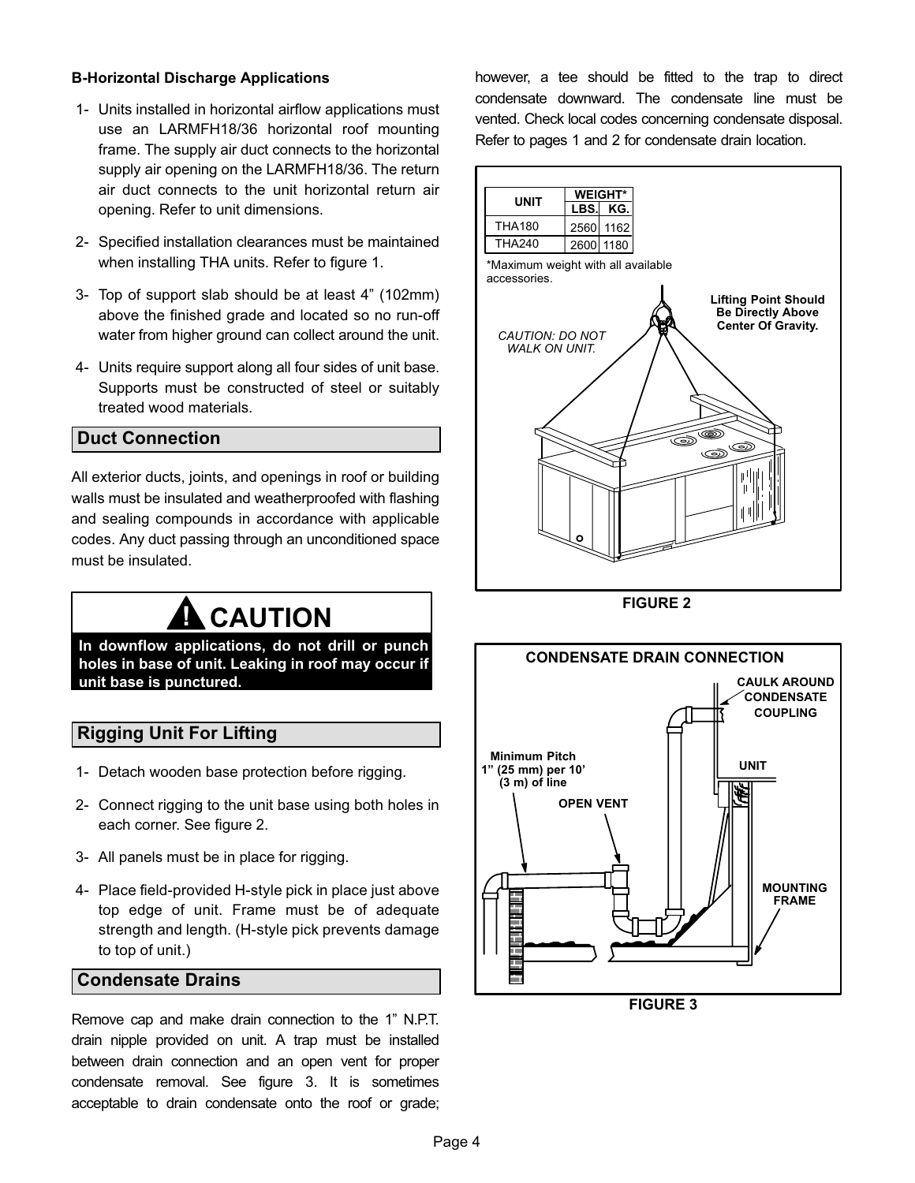#### B−Horizontal Discharge Applications

- 1− Units installed in horizontal airflow applications must use an LARMFH18/36 horizontal roof mounting frame. The supply air duct connects to the horizontal supply air opening on the LARMFH18/36. The return air duct connects to the unit horizontal return air opening. Refer to unit dimensions.
- 2− Specified installation clearances must be maintained when installing THA units. Refer to figure [1](#page-2-0).
- 3− Top of support slab should be at least 4" (102mm) above the finished grade and located so no run−off water from higher ground can collect around the unit.
- 4− Units require support along all four sides of unit base. Supports must be constructed of steel or suitably treated wood materials.

### Duct Connection

All exterior ducts, joints, and openings in roof or building walls must be insulated and weatherproofed with flashing and sealing compounds in accordance with applicable codes. Any duct passing through an unconditioned space must be insulated.

# **A** CAUTION

In downflow applications, do not drill or punch holes in base of unit. Leaking in roof may occur if unit base is punctured.

### Rigging Unit For Lifting

- 1− Detach wooden base protection before rigging.
- 2− Connect rigging to the unit base using both holes in each corner. See figure 2.
- 3− All panels must be in place for rigging.
- 4− Place field-provided H-style pick in place just above top edge of unit. Frame must be of adequate strength and length. (H−style pick prevents damage to top of unit.)

#### Condensate Drains

Remove cap and make drain connection to the 1" N.P.T. drain nipple provided on unit. A trap must be installed between drain connection and an open vent for proper condensate removal. See figure 3. It is sometimes acceptable to drain condensate onto the roof or grade;

however, a tee should be fitted to the trap to direct condensate downward. The condensate line must be vented. Check local codes concerning condensate disposal. Refer to pages 1 and 2 for condensate drain location.



FIGURE 2



FIGURE 3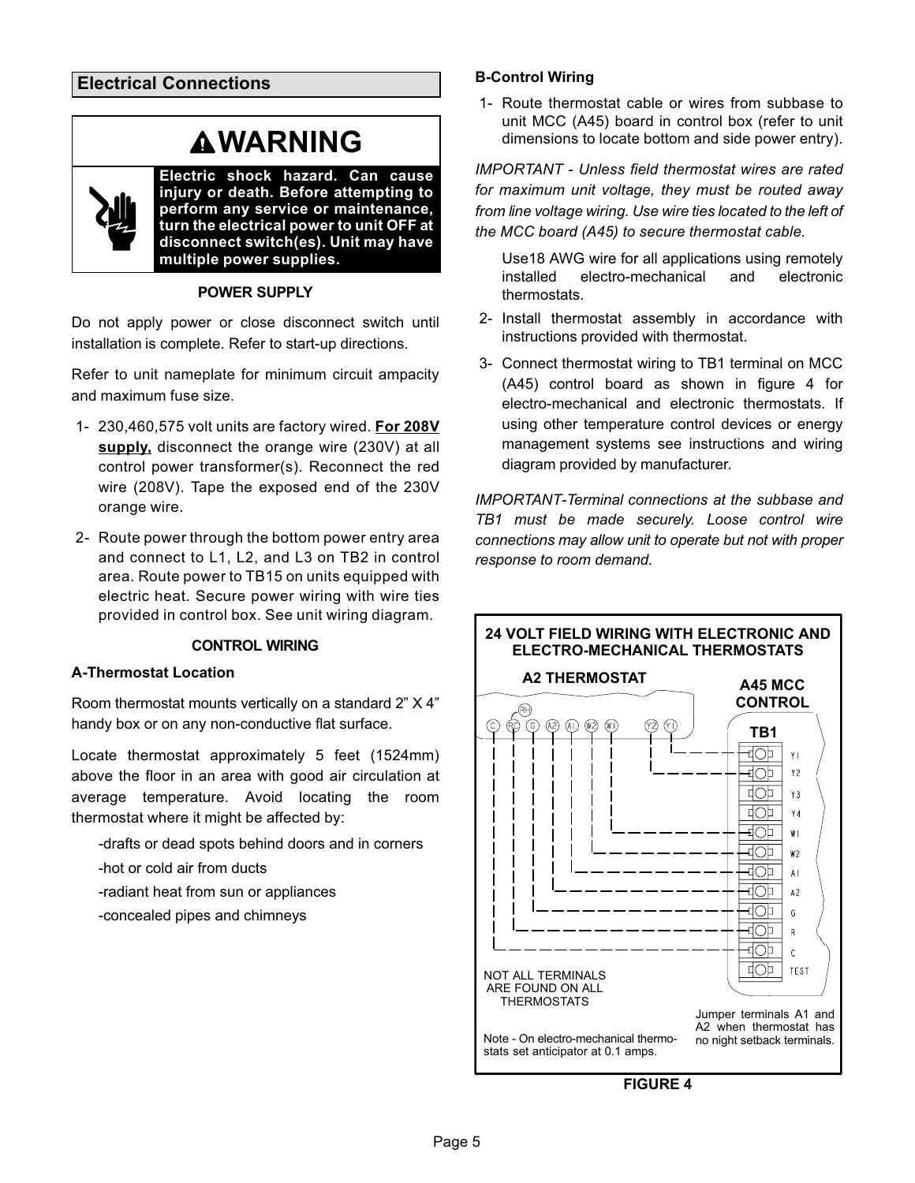Electrical Connections

# **AWARNING**



POWER SUPPLY

Do not apply power or close disconnect switch until installation is complete. Refer to start−up directions.

Refer to unit nameplate for minimum circuit ampacity and maximum fuse size.

- 1− 230,460,575 volt units are factory wired. For 208V supply, disconnect the orange wire (230V) at all control power transformer(s). Reconnect the red wire (208V). Tape the exposed end of the 230V orange wire.
- 2− Route power through the bottom power entry area and connect to L1, L2, and L3 on TB2 in control area. Route power to TB15 on units equipped with electric heat. Secure power wiring with wire ties provided in control box. See unit wiring diagram.

#### CONTROL WIRING

#### A−Thermostat Location

Room thermostat mounts vertically on a standard 2" X 4" handy box or on any non−conductive flat surface.

Locate thermostat approximately 5 feet (1524mm) above the floor in an area with good air circulation at average temperature. Avoid locating the room thermostat where it might be affected by:

−drafts or dead spots behind doors and in corners

- −hot or cold air from ducts
- −radiant heat from sun or appliances
- −concealed pipes and chimneys

#### B−Control Wiring

 1− Route thermostat cable or wires from subbase to unit MCC (A45) board in control box (refer to unit dimensions to locate bottom and side power entry).

IMPORTANT − Unless field thermostat wires are rated for maximum unit voltage, they must be routed away from line voltage wiring. Use wire ties located to the left of the MCC board (A45) to secure thermostat cable.

Use18 AWG wire for all applications using remotely installed electro−mechanical and electronic thermostats.

- 2− Install thermostat assembly in accordance with instructions provided with thermostat.
- 3− Connect thermostat wiring to TB1 terminal on MCC (A45) control board as shown in figure 4 for electro−mechanical and electronic thermostats. If using other temperature control devices or energy management systems see instructions and wiring diagram provided by manufacturer.

IMPORTANT−Terminal connections at the subbase and TB1 must be made securely. Loose control wire connections may allow unit to operate but not with proper response to room demand.



FIGURE 4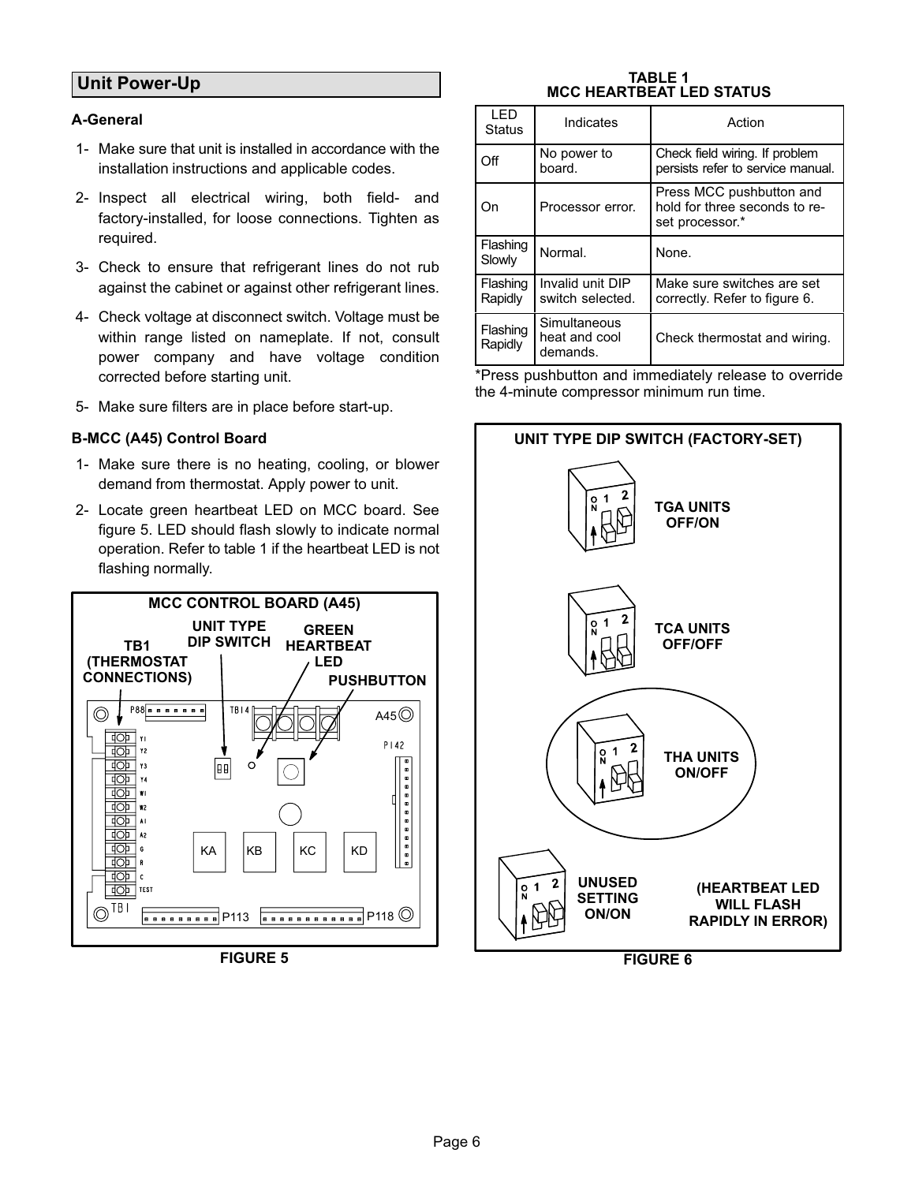## Unit Power−Up

### A−General

- 1− Make sure that unit is installed in accordance with the installation instructions and applicable codes.
- 2− Inspect all electrical wiring, both field- and factory-installed, for loose connections. Tighten as required.
- 3− Check to ensure that refrigerant lines do not rub against the cabinet or against other refrigerant lines.
- 4− Check voltage at disconnect switch. Voltage must be within range listed on nameplate. If not, consult power company and have voltage condition corrected before starting unit.
- 5− Make sure filters are in place before start-up.

#### B−MCC (A45) Control Board

- 1− Make sure there is no heating, cooling, or blower demand from thermostat. Apply power to unit.
- 2− Locate green heartbeat LED on MCC board. See figure 5. LED should flash slowly to indicate normal operation. Refer to table 1 if the heartbeat LED is not flashing normally.



FIGURE 5

#### TABLE 1 MCC HEARTBEAT LED STATUS

| I FD<br><b>Status</b> | Indicates                            | Action                                                                       |
|-----------------------|--------------------------------------|------------------------------------------------------------------------------|
| Off                   | No power to<br>hoard.                | Check field wiring. If problem<br>persists refer to service manual.          |
| On                    | Processor error.                     | Press MCC pushbutton and<br>hold for three seconds to re-<br>set processor.* |
| Flashing<br>Slowly    | Normal.                              | None.                                                                        |
|                       |                                      |                                                                              |
| Flashing<br>Rapidly   | Invalid unit DIP<br>switch selected. | Make sure switches are set<br>correctly. Refer to figure 6.                  |

\*Press pushbutton and immediately release to override the 4−minute compressor minimum run time.

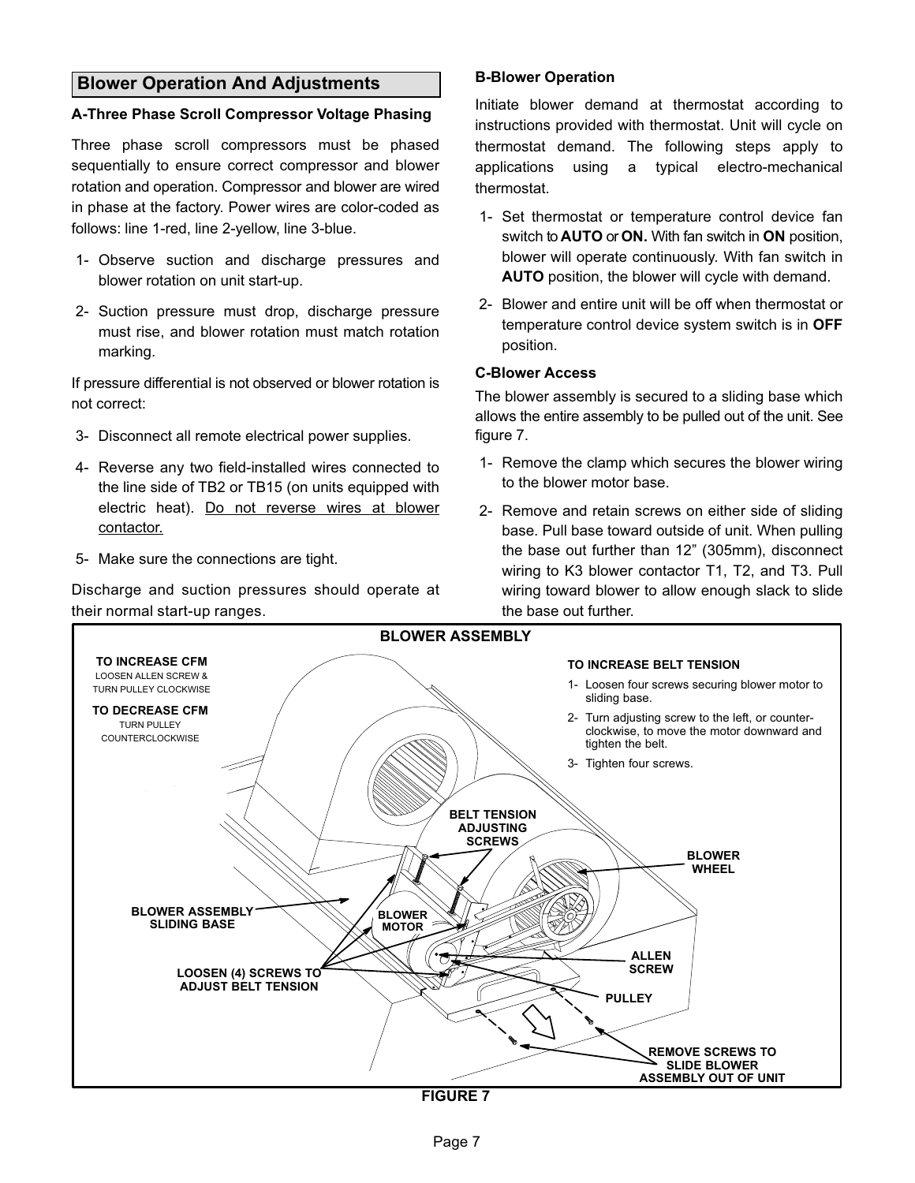#### <span id="page-7-0"></span>Blower Operation And Adjustments

#### A−Three Phase Scroll Compressor Voltage Phasing

Three phase scroll compressors must be phased sequentially to ensure correct compressor and blower rotation and operation. Compressor and blower are wired in phase at the factory. Power wires are color−coded as follows: line 1−red, line 2−yellow, line 3−blue.

- 1− Observe suction and discharge pressures and blower rotation on unit start−up.
- 2− Suction pressure must drop, discharge pressure must rise, and blower rotation must match rotation marking.

If pressure differential is not observed or blower rotation is not correct:

- 3− Disconnect all remote electrical power supplies.
- 4− Reverse any two field−installed wires connected to the line side of TB2 or TB15 (on units equipped with electric heat). Do not reverse wires at blower contactor.
- 5− Make sure the connections are tight.

Discharge and suction pressures should operate at their normal start-up ranges.

#### B−Blower Operation

Initiate blower demand at thermostat according to instructions provided with thermostat. Unit will cycle on thermostat demand. The following steps apply to applications using a typical electro−mechanical thermostat.

- 1− Set thermostat or temperature control device fan switch to **AUTO** or **ON.** With fan switch in **ON** position, blower will operate continuously. With fan switch in AUTO position, the blower will cycle with demand.
- 2− Blower and entire unit will be off when thermostat or temperature control device system switch is in OFF position.

#### C−Blower Access

The blower assembly is secured to a sliding base which allows the entire assembly to be pulled out of the unit. See figure 7.

- 1− Remove the clamp which secures the blower wiring to the blower motor base.
- 2− Remove and retain screws on either side of sliding base. Pull base toward outside of unit. When pulling the base out further than 12" (305mm), disconnect wiring to K3 blower contactor T1, T2, and T3. Pull wiring toward blower to allow enough slack to slide the base out further.



FIGURE 7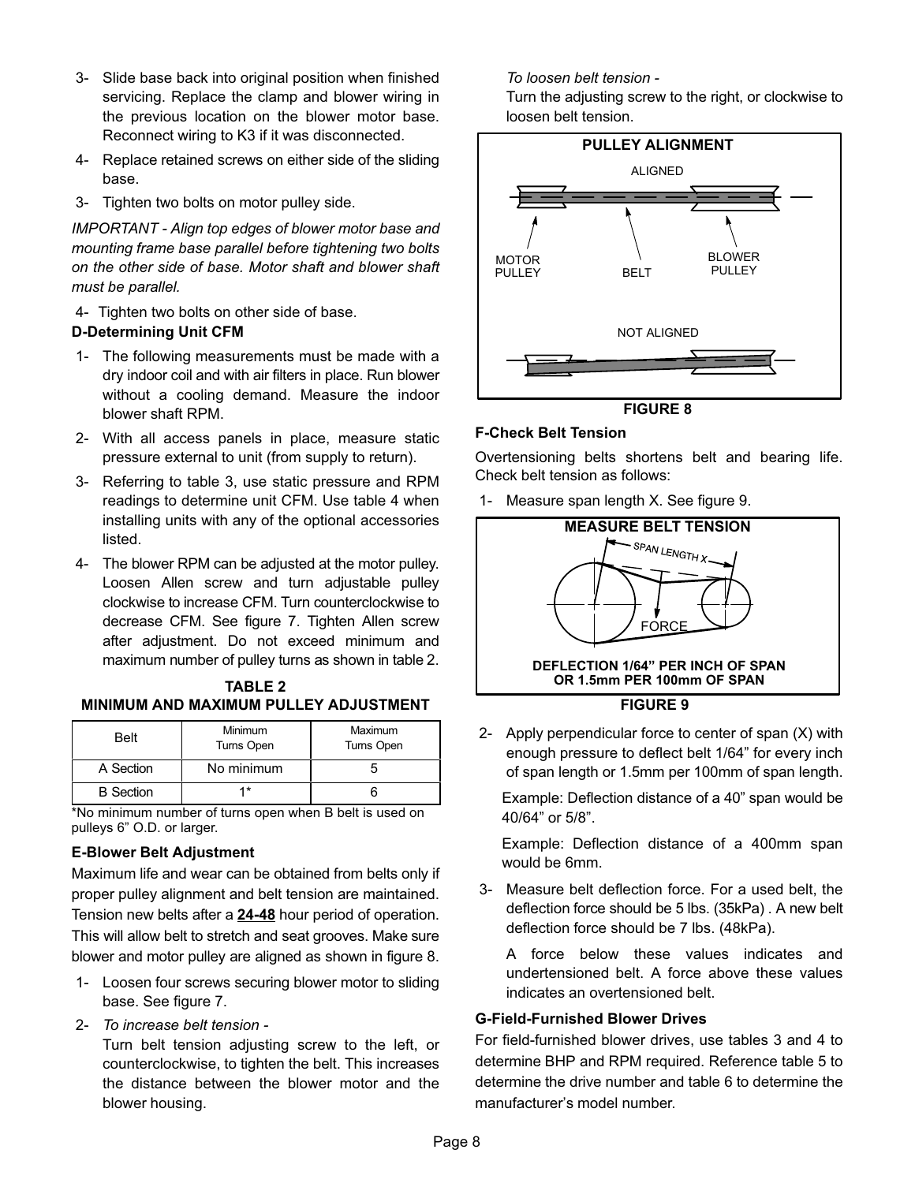- 3− Slide base back into original position when finished servicing. Replace the clamp and blower wiring in the previous location on the blower motor base. Reconnect wiring to K3 if it was disconnected.
- 4− Replace retained screws on either side of the sliding base.
- 3− Tighten two bolts on motor pulley side.

IMPORTANT − Align top edges of blower motor base and mounting frame base parallel before tightening two bolts on the other side of base. Motor shaft and blower shaft must be parallel.

4− Tighten two bolts on other side of base.

#### D−Determining Unit CFM

- 1− The following measurements must be made with a dry indoor coil and with air filters in place. Run blower without a cooling demand. Measure the indoor blower shaft RPM.
- 2− With all access panels in place, measure static pressure external to unit (from supply to return).
- 3− Referring to table [3](#page-9-0), use static pressure and RPM readings to determine unit CFM. Use table [4](#page-10-0) when installing units with any of the optional accessories listed.
- 4− The blower RPM can be adjusted at the motor pulley. Loosen Allen screw and turn adjustable pulley clockwise to increase CFM. Turn counterclockwise to decrease CFM. See figure [7](#page-7-0). Tighten Allen screw after adjustment. Do not exceed minimum and maximum number of pulley turns as shown in table 2.

| <b>TABLE 2</b>                               |
|----------------------------------------------|
| <b>MINIMUM AND MAXIMUM PULLEY ADJUSTMENT</b> |

| <b>Belt</b>      | Minimum<br>Turns Open | Maximum<br>Turns Open |  |  |  |
|------------------|-----------------------|-----------------------|--|--|--|
| A Section        | No minimum            |                       |  |  |  |
| <b>B</b> Section | *                     |                       |  |  |  |

\*No minimum number of turns open when B belt is used on pulleys 6" O.D. or larger.

#### E−Blower Belt Adjustment

Maximum life and wear can be obtained from belts only if proper pulley alignment and belt tension are maintained. Tension new belts after a 24−48 hour period of operation. This will allow belt to stretch and seat grooves. Make sure blower and motor pulley are aligned as shown in figure 8.

- 1− Loosen four screws securing blower motor to sliding base. See figure [7](#page-7-0).
- 2− To increase belt tension −

Turn belt tension adjusting screw to the left, or counterclockwise, to tighten the belt. This increases the distance between the blower motor and the blower housing.

To loosen belt tension −

Turn the adjusting screw to the right, or clockwise to loosen belt tension.



FIGURE 8

#### F−Check Belt Tension

Overtensioning belts shortens belt and bearing life. Check belt tension as follows:

1− Measure span length X. See figure 9.



 2− Apply perpendicular force to center of span (X) with enough pressure to deflect belt 1/64" for every inch of span length or 1.5mm per 100mm of span length.

Example: Deflection distance of a 40" span would be 40/64" or 5/8".

Example: Deflection distance of a 400mm span would be 6mm.

 3− Measure belt deflection force. For a used belt, the deflection force should be 5 lbs. (35kPa) . A new belt deflection force should be 7 lbs. (48kPa).

A force below these values indicates and undertensioned belt. A force above these values indicates an overtensioned belt.

#### G−Field−Furnished Blower Drives

For field−furnished blower drives, use tables [3](#page-9-0) and [4](#page-10-0) to determine BHP and RPM required. Reference table [5](#page-10-0) to determine the drive number and table [6](#page-10-0) to determine the manufacturer's model number.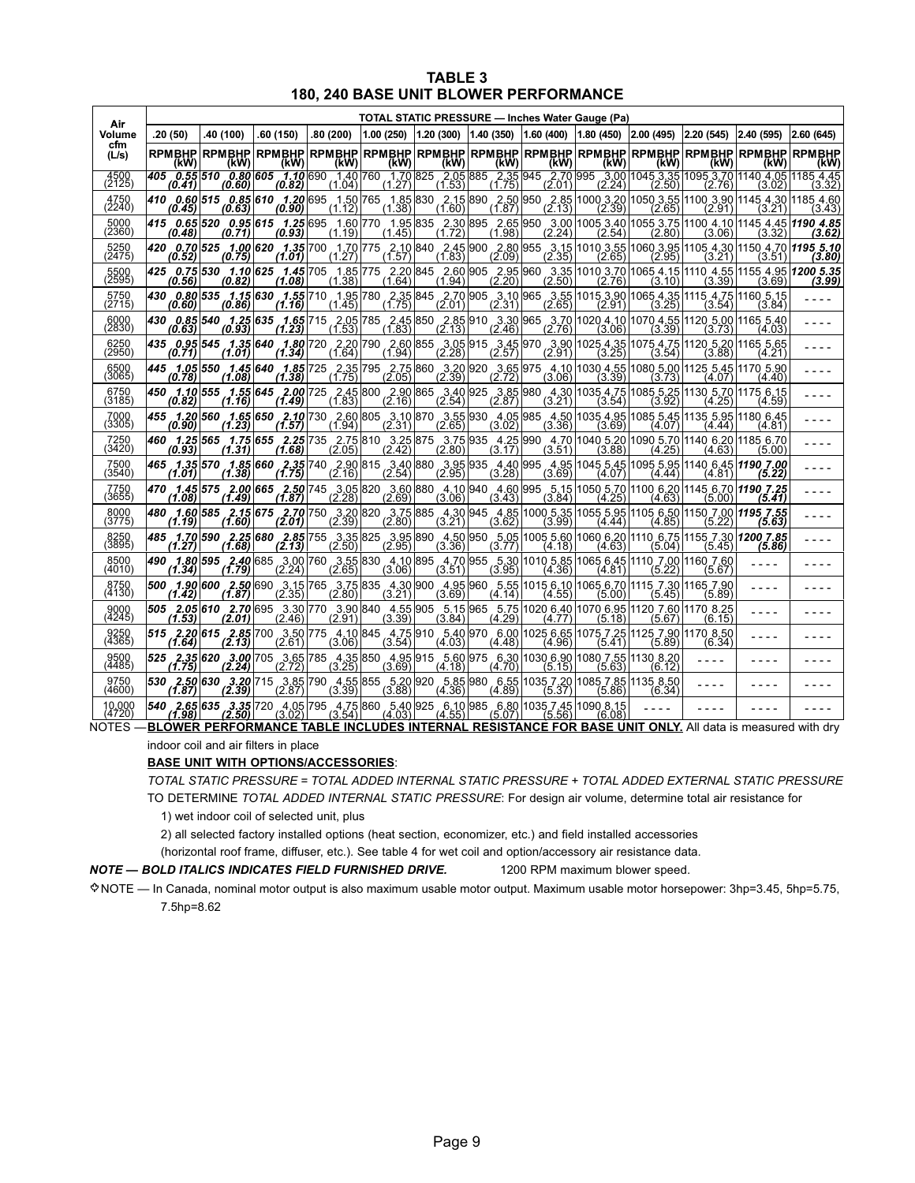| <b>TABLE 3</b>                        |
|---------------------------------------|
| 180, 240 BASE UNIT BLOWER PERFORMANCE |

<span id="page-9-0"></span>

| Air              |         |           |          |           |        |                                                                                                                                                                                                                                   |                           |        |                                                                                                    | TOTAL STATIC PRESSURE - Inches Water Gauge (Pa) |        |        |                       |  |  |  |  |  |  |  |
|------------------|---------|-----------|----------|-----------|--------|-----------------------------------------------------------------------------------------------------------------------------------------------------------------------------------------------------------------------------------|---------------------------|--------|----------------------------------------------------------------------------------------------------|-------------------------------------------------|--------|--------|-----------------------|--|--|--|--|--|--|--|
| Volume           | .20(50) | .40 (100) | .60(150) | .80 (200) |        | $\vert 1.00 \vert (250) \vert 1.20 \vert (300) \vert 1.40 \vert (350) \vert 1.60 \vert (400) \vert 1.80 \vert (450) \vert 2.00 \vert (495) \vert 2.20 \vert (545) \vert 2.40 \vert (595)$                                         |                           |        |                                                                                                    |                                                 |        |        | 2.60(645)             |  |  |  |  |  |  |  |
| cfm<br>(L/s)     | (kW)    | (kW)      | (kW)     | (kW)      | (kW)   | RPMBHP RPMBHP RPMBHP RPMBHP RPMBHP RPMBHP RPMBHP RPMBHP RPMBHP RPMBHP RPMBHP RPMBHP <br>(kW)                                                                                                                                      | (kW)                      | (kW)   | (kW)                                                                                               | (kW)                                            | (kW)   | (kW)   | <b>RPMBHP</b><br>(kW) |  |  |  |  |  |  |  |
| 4500<br>(2125)   |         |           |          |           |        | 405 0.55 510 0.80 605 1.10 690 1.40 760 1.70 825 2.05 885 (0.41)                                                                                                                                                                  | $\frac{2.35}{(1.75)}$ 945 |        | 2.70 995 3.00 1045 3.35 1095 3.70 1140 4.05 1185 4.45<br>(2.01) (2.24) (2.50) (2.76) (3.02) (3.32) |                                                 |        |        |                       |  |  |  |  |  |  |  |
| 4750<br>(2240)   |         |           |          |           |        | 410 0.60 515 0.85 610 1.20 695 1.50 765 1.85 830 2.15 890 2.50 950 2.85 1000 3.20 1050 3.55 1100 3.90 1145 4.30<br>(0.63) (0.63) (0.90) (1.12) (1.38) (1.60) (1.87) (2.13) (2.39) (2.65) (2.91) (3.21) (3.21)                     |                           |        |                                                                                                    |                                                 |        |        |                       |  |  |  |  |  |  |  |
| 5000<br>(2360)   |         |           |          |           |        | 415 0.65 520 0.95 615 1.25 695 1.60 770 1.95 835 2.30 895 2.65 950 3.00 1005 3.40 1055 3.75 1100 4.10 1145 4.45 1190 4.85 2.95 616 1<br>(3.62) (3.32) (3.32) (3.62) (2.54 (2.54 (2.54 (2.80) (3.71 (0.93) (1.19 (1.45 (1.45 (1.45 |                           |        |                                                                                                    |                                                 |        |        |                       |  |  |  |  |  |  |  |
| 5250             | (0.52)  | (0.75)    | (1.01)   | (1.27)    | (1.57) | 420 0.70 525 1.00 620 1.35 700 1.70 775 2.10 840 2.45 900 2.80 955 3.15 1010 3.55 1060 3.95 1105 4.30 1150 4.70 1195 5.10<br>(1.83)                                                                                               | (2.09)                    | (2.35) | (2.65)                                                                                             | (2.95)                                          | (3.21) | (3.51) | (3.80)                |  |  |  |  |  |  |  |
| 5500             |         |           |          | (1.38)    |        | 425 0.75 530 1.10 625 1.45 705 1.85 775 2.20 845 2.60 905 2.95 960 3.35 1010 3.70 1065 4.15 1110 4.55 1155 4.95 4200 5.35<br>(3.99) (3.69 (3.69) (3.69) (3.69) (2.50 (2.50 (2.50 (2.50 (1.94) (1.64 (1.94 (1.94 ) (3.69 (3.69 (3. |                           |        |                                                                                                    |                                                 |        |        |                       |  |  |  |  |  |  |  |
| 5750<br>(2715)   | (0.60)  | (0.86)    | (1.16)   | (1.45)    | (1.75) | 430 0.80 535 1.15 630 1.55 710 1.95 780 2.35 845 2.70 905 3.10 965 3.55 1015 3.90 1065 4.35 1115 4.75 1160 5.15<br>(2.01)                                                                                                         | (2.31)                    | (2.65) | (2.91)                                                                                             | (3.25)                                          | (3.54) | (3.84) |                       |  |  |  |  |  |  |  |
| 6000<br>(2830)   |         |           |          |           |        | 430 0.85 540 1.25 635 1.65 715 2.05 850 2.45 850 2.85 910 3.30 965 3.70 1020 4.10 1070 4.55 1120 5.00 1165 5.40<br>(1.53) (3.39) (3.39) (3.39) (3.76) (3.76) (4.03) (3.46) (2.46) (3.76) (3.39) (3.39) (4.03) (4.03) (4.03) (4.03 |                           |        |                                                                                                    |                                                 |        |        |                       |  |  |  |  |  |  |  |
| 6250<br>(2950)   |         |           |          |           |        | 435 <b>0.95 545 1.35 640 1.80</b> 720 2.20 790 2.60 855 3.05 915 3.45 970 3.90 1025 4.35 1075 4.75 1120 5.20 1165 5.65<br>(1.84)   (1.84)   (2.28)   (2.57)   (2.91)   (3.28)   (3.54)   (3.88)   (4.21)   (4.21)                 |                           |        |                                                                                                    |                                                 |        |        |                       |  |  |  |  |  |  |  |
| 6500<br>(3065)   | (0.78)  | (1.08)    | (1.38)   | (1.75)    | (2.05) | 445 1.05 550 1.45 640 1.85 725 2.35 795 2.75 860 3.20 920 3.65 975 4.10 1030 4.55 1080 5.00 1125 5.45 1170 5.90<br>(2.39)                                                                                                         | (2.72)                    | (3.06) | (3.39)                                                                                             | (3.73)                                          | (4.07) | (4.40) |                       |  |  |  |  |  |  |  |
| 6750<br>(3185)   | (0.82)  |           |          |           |        | 450 1.10 555 1.55 645 2.00 725 2.45 800 2.90 865 3.40 925 3.85 980 4.30 1035 4.75 1085 5.25 1130 5.70 1175 6.15<br>(4.29) (4.29) (4.29) (4.29) (2.54) (2.54) (2.54) (2.54) (2.54) (3.21) (4.25) (1.16) (4.25) (4.25)              |                           |        |                                                                                                    |                                                 |        |        |                       |  |  |  |  |  |  |  |
| 7000<br>(3305)   | (0.90)  | (1.23)    | (1.57)   | (1.94)    | (2.31) | 455 1.20 560 1.65 650 2.10 730 2.60 805 3.10 870 3.55 930 4.05 985 4.50 1035 4.95 1085 5.45 1135 5.95 1180 6.45<br>(2.65)                                                                                                         | (3.02)                    | (3.36) | (3.69)                                                                                             | (4.07)                                          | (4.44) | (4.81) |                       |  |  |  |  |  |  |  |
| 7250<br>(3420)   | (0.93)  | (1.31)    |          |           |        | 460 1.25 565 1.75 655 2.25 735 2.75 810 3.25 875 3.75 935 4.25 990 4.70 1040 5.20 1090 5.70 1140 6.20 1185 6.70<br>(1.30) (4.63) (4.68) (5.00) (2.42) (2.80) (3.17) (3.51) (3.58) (4.25) (4.63) (4.63) (5.00)                     |                           |        |                                                                                                    |                                                 |        |        |                       |  |  |  |  |  |  |  |
| 7500<br>(3540)   | (1.01)  | (1.38)    | (1.75)   | (2.16)    | (2.54) | 465 1.35 570 1.85 660 2.35 740 2.90 815 3.40 880 3.95 935 4.40 995 4.95 1045 5.45 1095 5.95 1140 6.45 1190 7.00<br>(2.95)                                                                                                         | (3.28)                    | (3.69) | (4.07)                                                                                             | (4.44)                                          | (4.81) | (5.22) |                       |  |  |  |  |  |  |  |
| 7750<br>(3655)   | (1.08)  | (1.49)    | (1.87)   | (2.28)    | (2.69) | 470 1.45 575 2.00 665 2.50 745 3.05 820 3.60 880 4.10 940 4.60 995 5.15 1050 5.70 1100 6.20 1145 6.70 1190 7.25<br>(3.06)                                                                                                         | (3.43)                    | (3.84) | (4.25)                                                                                             | (4.63)                                          | (5.00) | (5.41) |                       |  |  |  |  |  |  |  |
| 8000<br>(3775)   | (1.19)  | (1.60)    | (2.01)   | (2.39)    | (2.80) | 480 1.60 585 2.15 675 2.70 750 3.20 820 3.75 885 4.30 945 4.85 1000 5.35 1055 5.95 1105 6.50 1150 7.00 1195 7.55<br>(3.21)                                                                                                        | (3.62)                    | (3.99) | (4.44)                                                                                             | (4.85)                                          | (5.22) | (5.63) |                       |  |  |  |  |  |  |  |
| 8250<br>(3895)   | (1.27)  | (1.68)    | (2.13)   | (2.50)    | (2.95) | 485 1.70 590 2.25 680 2.85 755 3.35 825 3.95 890 4.50 950 5.05 1005 5.60 1060 6.20 1110 6.75 1155 7.30 1200 7.85<br>(3.36)                                                                                                        | (3.77)                    | (4.18) | (4.63)                                                                                             | (5.04)                                          | (5.45) | (5.86) |                       |  |  |  |  |  |  |  |
| 8500<br>(4010)   | (1.34)  | (1.79)    | (2.24)   | (2.65)    | (3.06) | 490 1.80 595 2.40 685 3.00 760 3.55 830 4.10 895 4.70 955 5.30 1010 5.85 1065 6.45 1110 7.00 1160 7.60<br>(3.51)                                                                                                                  | (3.95)                    | (4.36) | (4.81)                                                                                             | (5.22)                                          | (5.67) |        |                       |  |  |  |  |  |  |  |
| 8750<br>(4130)   | (1.42)  | (1.87)    | (2.35)   | (2.80)    | (3.21) | 500 1.90 600 2.50 690 3.15 765 3.75 835 4.30 900 4.95 960 5.55 1015 6.10 1065 6.70 1115 7.30 1165 7.90<br>(3.69)                                                                                                                  | (4.14)                    | (4.55) | (5.00)                                                                                             | (5.45)                                          | (5.89) |        |                       |  |  |  |  |  |  |  |
| 9000<br>(4245    |         |           |          |           |        | 505 2.05 610 2.70 695 3.30 770 3.90 840 4.55 905 5.15 965 5.75 1020 6.40 1070 6.95 1120 7.60 1170 8.25<br>(1.53) (2.01) (2.46) (3.39) (3.39) (3.84) (4.29) (3.29) (5.18) (5.67) (6.15)                                            |                           |        |                                                                                                    |                                                 |        |        |                       |  |  |  |  |  |  |  |
| 9250<br>(4365)   | (1.64)  | (2.13)    | (2.61)   | (3.06)    | (3.54) | <b>515 2.201615 2.851</b> 700 3.501775 4.101845 4.751910 5.401970 6.0011025 6.6511075 7.2511125 7.9011170 8.50<br>(4.03)                                                                                                          | (4.48)                    | (4.96) | (5.41)                                                                                             | (5.89)                                          | (6.34) |        |                       |  |  |  |  |  |  |  |
| 9500<br>(4485)   | (1.75)  | (2.24)    | (2.72)   | (3.25)    | (3.69) | 525 2.35 620 3.00 705 3.65 785 4.35 850 4.95 915 5.60 975 6.30 1030 6.90 1080 7.55 1130 8.20<br>(4.18)                                                                                                                            | (4.70)                    | (5.15) | (5.63)                                                                                             | (6.12)                                          |        |        |                       |  |  |  |  |  |  |  |
| 9750<br>(4600)   | (1.87)  | (2.39)    | (2.87)   | (3.39)    | (3.88) | <b>530 2.50 630 3.20</b> 715 3.85 790 4.55 855 5.20 920 5.85 980 6.55 1035 7.20 1085 7.85 1135 8.50<br>(4.36)                                                                                                                     | (4.89)                    | (5.37) | (5.86)                                                                                             | (6.34)                                          |        |        |                       |  |  |  |  |  |  |  |
| 10.000<br>(4720) |         |           |          |           |        | <b>540 2.65 635 3.35</b> 720 4.05 795 4.75 860 5.40 925 6.10 985 6.80 1035 7.45 1090 8.15<br>( <b>1.98) (2.50</b> (3.02) (3.54) (4.03) (4.55) (5.07) (5.56) (6.08)                                                                |                           |        |                                                                                                    |                                                 |        |        |                       |  |  |  |  |  |  |  |

NOTES — <mark>BLOWER PERFORMANCE TABLE INCLUDES INTERNAL RESISTANCE FOR BASE UNIT ONLY.</mark> All data is measured with dry indoor coil and air filters in place

#### BASE UNIT WITH OPTIONS/ACCESSORIES:

TOTAL STATIC PRESSURE = TOTAL ADDED INTERNAL STATIC PRESSURE + TOTAL ADDED EXTERNAL STATIC PRESSURE TO DETERMINE TOTAL ADDED INTERNAL STATIC PRESSURE: For design air volume, determine total air resistance for

1) wet indoor coil of selected unit, plus

2) all selected factory installed options (heat section, economizer, etc.) and field installed accessories

(horizontal roof frame, diffuser, etc.). See table [4](#page-10-0) for wet coil and option/accessory air resistance data.

#### NOTE - BOLD ITALICS INDICATES FIELD FURNISHED DRIVE. 1200 RPM maximum blower speed.

NOTE - In Canada, nominal motor output is also maximum usable motor output. Maximum usable motor horsepower: 3hp=3.45, 5hp=5.75, 7.5hp=8.62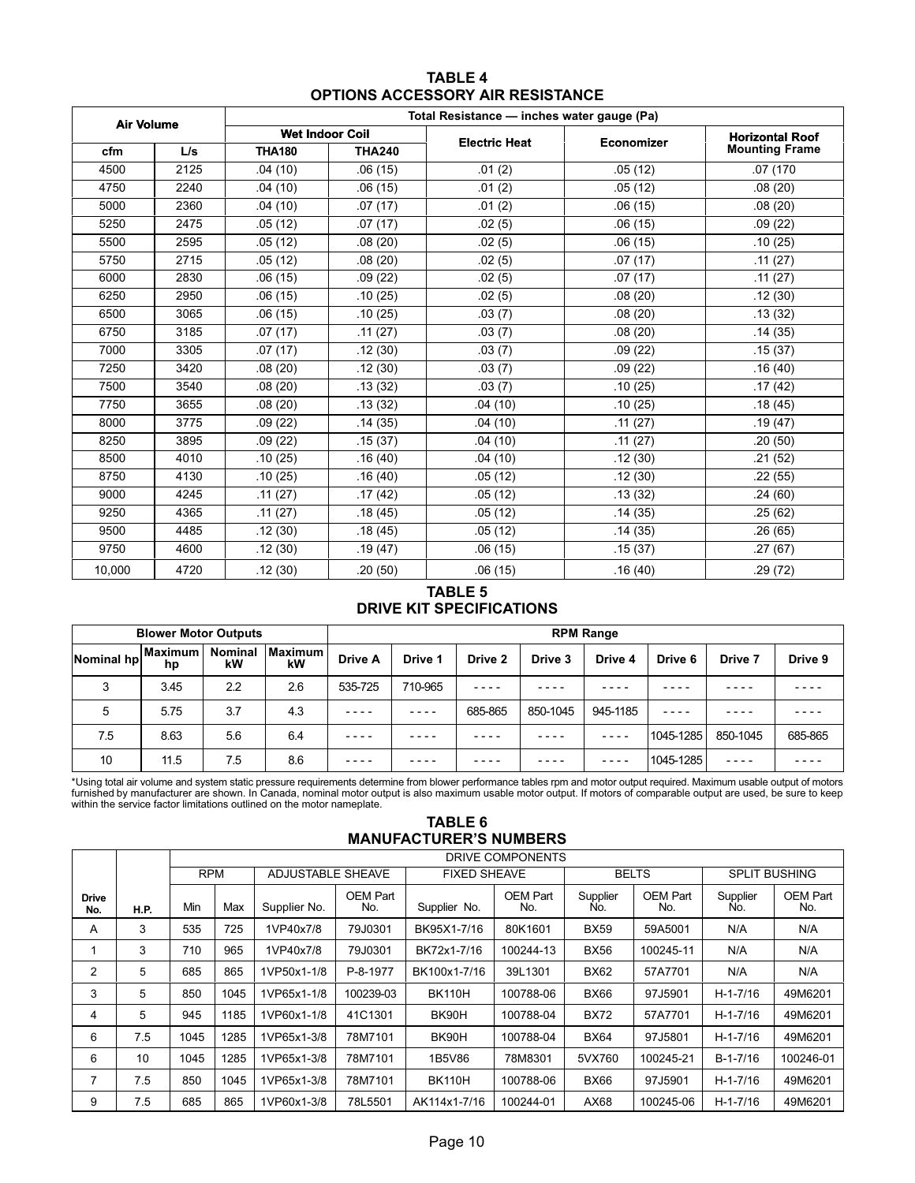| <b>TABLE 4</b>                          |
|-----------------------------------------|
| <b>OPTIONS ACCESSORY AIR RESISTANCE</b> |

<span id="page-10-0"></span>

| <b>Air Volume</b> |      | Total Resistance - inches water gauge (Pa) |               |                      |            |                        |  |  |  |
|-------------------|------|--------------------------------------------|---------------|----------------------|------------|------------------------|--|--|--|
|                   |      | <b>Wet Indoor Coil</b>                     |               | <b>Electric Heat</b> | Economizer | <b>Horizontal Roof</b> |  |  |  |
| cfm               | L/s  | <b>THA180</b>                              | <b>THA240</b> |                      |            | <b>Mounting Frame</b>  |  |  |  |
| 4500              | 2125 | .04(10)                                    | .06(15)       | .01(2)               | .05(12)    | .07(170)               |  |  |  |
| 4750              | 2240 | .04(10)                                    | .06(15)       | .01(2)               | .05(12)    | .08(20)                |  |  |  |
| 5000              | 2360 | .04(10)                                    | .07(17)       | .01(2)               | .06(15)    | .08(20)                |  |  |  |
| 5250              | 2475 | .05(12)                                    | .07(17)       | .02(5)               | .06(15)    | .09(22)                |  |  |  |
| 5500              | 2595 | .05(12)                                    | .08(20)       | .02(5)               | .06(15)    | .10(25)                |  |  |  |
| 5750              | 2715 | .05(12)                                    | .08(20)       | .02(5)               | .07(17)    | .11(27)                |  |  |  |
| 6000              | 2830 | .06(15)                                    | .09(22)       | .02(5)               | .07(17)    | .11(27)                |  |  |  |
| 6250              | 2950 | .06(15)                                    | .10(25)       | .02(5)               | .08(20)    | .12(30)                |  |  |  |
| 6500              | 3065 | .06(15)                                    | .10(25)       | .03(7)               | .08(20)    | .13(32)                |  |  |  |
| 6750              | 3185 | .07(17)                                    | .11(27)       | .03(7)               | .08(20)    | .14(35)                |  |  |  |
| 7000              | 3305 | .07(17)                                    | .12(30)       | .03(7)               | .09(22)    | .15(37)                |  |  |  |
| 7250              | 3420 | .08(20)                                    | .12(30)       | .03(7)               | .09(22)    | .16(40)                |  |  |  |
| 7500              | 3540 | .08(20)                                    | .13(32)       | .03(7)               | .10(25)    | .17(42)                |  |  |  |
| 7750              | 3655 | .08(20)                                    | .13(32)       | .04(10)              | .10(25)    | .18(45)                |  |  |  |
| 8000              | 3775 | .09(22)                                    | .14(35)       | .04(10)              | .11(27)    | .19(47)                |  |  |  |
| 8250              | 3895 | .09(22)                                    | .15(37)       | .04(10)              | .11(27)    | .20(50)                |  |  |  |
| 8500              | 4010 | .10(25)                                    | .16(40)       | .04(10)              | .12(30)    | .21(52)                |  |  |  |
| 8750              | 4130 | .10(25)                                    | .16(40)       | .05(12)              | .12(30)    | .22(55)                |  |  |  |
| 9000              | 4245 | .11(27)                                    | .17(42)       | .05(12)              | .13(32)    | .24(60)                |  |  |  |
| 9250              | 4365 | .11(27)                                    | .18(45)       | .05(12)              | .14(35)    | .25(62)                |  |  |  |
| 9500              | 4485 | .12(30)                                    | .18(45)       | .05(12)              | .14(35)    | .26(65)                |  |  |  |
| 9750              | 4600 | .12(30)                                    | .19(47)       | .06(15)              | .15(37)    | .27(67)                |  |  |  |
| 10,000            | 4720 | .12(30)                                    | .20(50)       | .06(15)              | .16(40)    | .29 (72)               |  |  |  |

#### TABLE 5 DRIVE KIT SPECIFICATIONS

|                    | <b>Blower Motor Outputs</b> |                      |               | <b>RPM Range</b> |         |         |          |          |           |          |         |
|--------------------|-----------------------------|----------------------|---------------|------------------|---------|---------|----------|----------|-----------|----------|---------|
| Nominal hp Maximum | hp                          | <b>Nominal</b><br>kW | Maximum<br>kW | <b>Drive A</b>   | Drive 1 | Drive 2 | Drive 3  | Drive 4  | Drive 6   | Drive 7  | Drive 9 |
| 3                  | 3.45                        | 2.2                  | 2.6           | 535-725          | 710-965 | ----    |          |          |           |          |         |
| 5                  | 5.75                        | 3.7                  | 4.3           | $- - - -$        | ----    | 685-865 | 850-1045 | 945-1185 |           |          |         |
| 7.5                | 8.63                        | 5.6                  | 6.4           | $- - - -$        | - - - - |         |          |          | 1045-1285 | 850-1045 | 685-865 |
| 10                 | 11.5                        | 7.5                  | 8.6           | $- - - -$        | - - - - |         |          |          | 1045-1285 | ----     |         |

\*Using total air volume and system static pressure requirements determine from blower performance tables rpm and motor output required. Maximum usable output of motors<br>furnished by manufacturer are shown. In Canada, nomina

TABLE 6 MANUFACTURER'S NUMBERS

|                     |             |            | DRIVE COMPONENTS |                                 |           |                     |                 |                 |                 |                      |                        |  |
|---------------------|-------------|------------|------------------|---------------------------------|-----------|---------------------|-----------------|-----------------|-----------------|----------------------|------------------------|--|
|                     |             | <b>RPM</b> |                  | <b>ADJUSTABLE SHEAVE</b>        |           | <b>FIXED SHEAVE</b> |                 |                 | <b>BELTS</b>    | <b>SPLIT BUSHING</b> |                        |  |
| <b>Drive</b><br>No. | <b>H.P.</b> | Min        | Max              | OEM Part<br>Supplier No.<br>No. |           | Supplier No.        | OEM Part<br>No. | Supplier<br>No. | OEM Part<br>No. | Supplier<br>No.      | <b>OEM Part</b><br>No. |  |
| A                   | 3           | 535        | 725              | 1VP40x7/8                       | 79J0301   | BK95X1-7/16         | 80K1601         | <b>BX59</b>     | 59A5001         | N/A                  | N/A                    |  |
|                     | 3           | 710        | 965              | 1VP40x7/8                       | 79J0301   | BK72x1-7/16         | 100244-13       | <b>BX56</b>     | 100245-11       | N/A                  | N/A                    |  |
| 2                   | 5           | 685        | 865              | 1VP50x1-1/8                     | P-8-1977  | BK100x1-7/16        | 39L1301         | <b>BX62</b>     | 57A7701         | N/A                  | N/A                    |  |
| 3                   | 5           | 850        | 1045             | 1VP65x1-1/8                     | 100239-03 | <b>BK110H</b>       | 100788-06       | <b>BX66</b>     | 97J5901         | $H - 1 - 7/16$       | 49M6201                |  |
| 4                   | 5           | 945        | 1185             | 1VP60x1-1/8                     | 41C1301   | BK90H               | 100788-04       | <b>BX72</b>     | 57A7701         | $H - 1 - 7/16$       | 49M6201                |  |
| 6                   | 7.5         | 1045       | 1285             | 1VP65x1-3/8                     | 78M7101   | BK90H               | 100788-04       | <b>BX64</b>     | 97J5801         | $H - 1 - 7/16$       | 49M6201                |  |
| 6                   | 10          | 1045       | 1285             | 1VP65x1-3/8                     | 78M7101   | 1B5V86              | 78M8301         | 5VX760          | 100245-21       | $B-1-7/16$           | 100246-01              |  |
| 7                   | 7.5         | 850        | 1045             | 1VP65x1-3/8                     | 78M7101   | <b>BK110H</b>       | 100788-06       | <b>BX66</b>     | 97J5901         | $H - 1 - 7/16$       | 49M6201                |  |
| 9                   | 7.5         | 685        | 865              | 1VP60x1-3/8                     | 78L5501   | AK114x1-7/16        | 100244-01       | AX68            | 100245-06       | $H - 1 - 7/16$       | 49M6201                |  |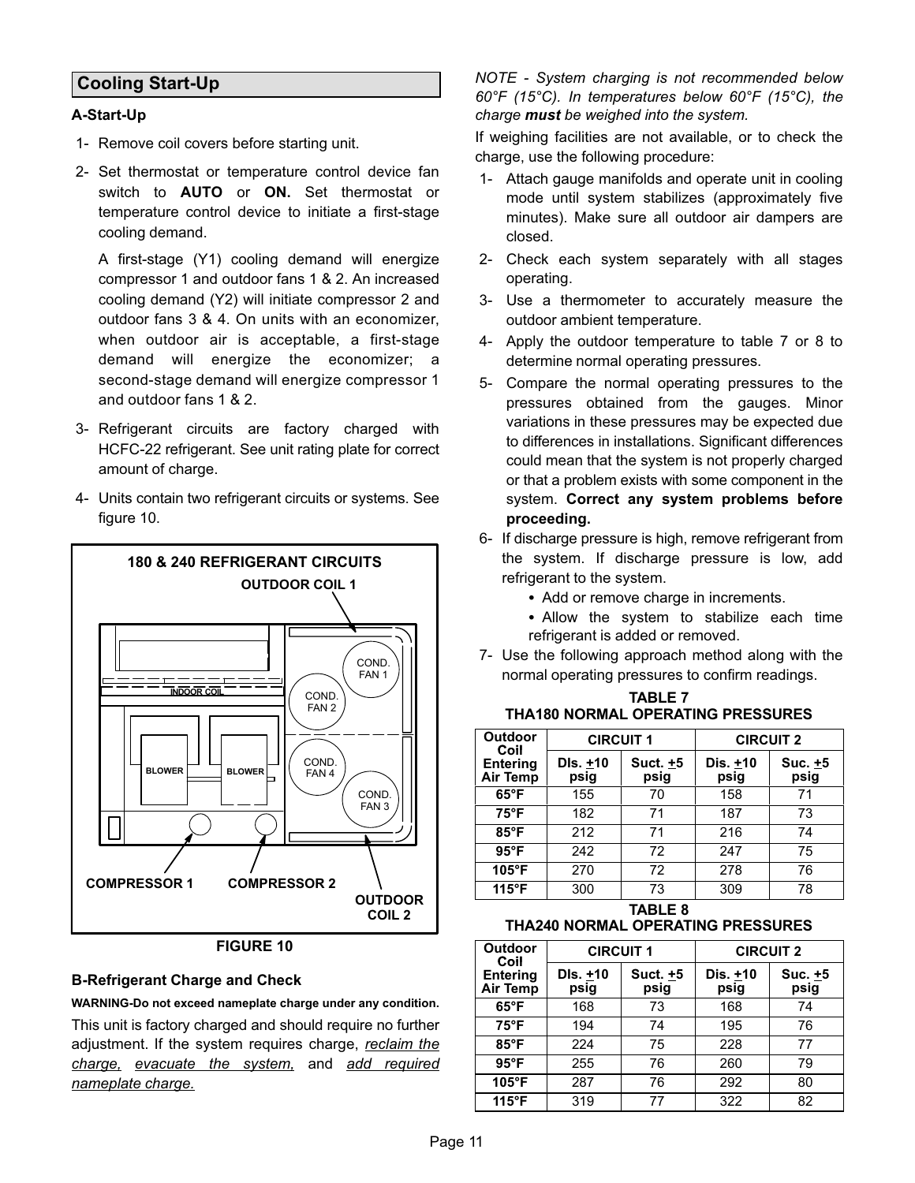## <span id="page-11-0"></span>Cooling Start−Up

#### A−Start−Up

- 1− Remove coil covers before starting unit.
- 2− Set thermostat or temperature control device fan switch to **AUTO** or **ON**. Set thermostat or temperature control device to initiate a first−stage cooling demand.

A first−stage (Y1) cooling demand will energize compressor 1 and outdoor fans 1 & 2. An increased cooling demand (Y2) will initiate compressor 2 and outdoor fans 3 & 4. On units with an economizer, when outdoor air is acceptable, a first−stage demand will energize the economizer; a second−stage demand will energize compressor 1 and outdoor fans 1 & 2.

- 3− Refrigerant circuits are factory charged with HCFC−22 refrigerant. See unit rating plate for correct amount of charge.
- 4− Units contain two refrigerant circuits or systems. See figure 10.



#### FIGURE 10

#### B−Refrigerant Charge and Check

WARNING−Do not exceed nameplate charge under any condition.

This unit is factory charged and should require no further adjustment. If the system requires charge, reclaim the charge, evacuate the system, and add required nameplate charge.

NOTE − System charging is not recommended below 60°F (15°C). In temperatures below 60°F (15°C), the charge must be weighed into the system.

If weighing facilities are not available, or to check the charge, use the following procedure:

- 1− Attach gauge manifolds and operate unit in cooling mode until system stabilizes (approximately five minutes). Make sure all outdoor air dampers are closed.
- 2− Check each system separately with all stages operating.
- 3− Use a thermometer to accurately measure the outdoor ambient temperature.
- 4− Apply the outdoor temperature to table 7 or 8 to determine normal operating pressures.
- 5− Compare the normal operating pressures to the pressures obtained from the gauges. Minor variations in these pressures may be expected due to differences in installations. Significant differences could mean that the system is not properly charged or that a problem exists with some component in the system. Correct any system problems before proceeding.
- 6− If discharge pressure is high, remove refrigerant from the system. If discharge pressure is low, add refrigerant to the system.
	- Add or remove charge in increments.
	- Allow the system to stabilize each time refrigerant is added or removed.
- 7− Use the following approach method along with the normal operating pressures to confirm readings.

| <b>TABLE 7</b>                     |
|------------------------------------|
| THA180 NORMAL OPERATING PRESSURES. |

| Outdoor<br>Coil                    | <b>CIRCUIT 1</b> |                    | <b>CIRCUIT 2</b> |                   |
|------------------------------------|------------------|--------------------|------------------|-------------------|
| <b>Entering</b><br><b>Air Temp</b> | DIs. +10<br>psig | Suct. $±5$<br>psig | Dis. +10<br>psig | Suc. $±5$<br>psig |
| $65^{\circ}$ F                     | 155              | 70                 | 158              | 71                |
| $75^{\circ}F$                      | 182              | 71                 | 187              | 73                |
| $85^{\circ}$ F                     | 212              | 71                 | 216              | 74                |
| $95^{\circ}$ F                     | 242              | 72                 | 247              | 75                |
| 105°F                              | 270              | 72                 | 278              | 76                |
| $115^{\circ}F$                     | 300              | 73                 | 309              | 78                |
|                                    |                  |                    |                  |                   |

TABLE 8

THA240 NORMAL OPERATING PRESSURES

| Outdoor<br>Coil                    | <b>CIRCUIT 1</b> |                  | <b>CIRCUIT 2</b> |                 |
|------------------------------------|------------------|------------------|------------------|-----------------|
| <b>Entering</b><br><b>Air Temp</b> | DIs. +10<br>psig | Suct. +5<br>psig | Dis. +10<br>psig | Suc. +5<br>psig |
| $65^{\circ}$ F                     | 168              | 73               | 168              | 74              |
| $75^{\circ}F$                      | 194              | 74               | 195              | 76              |
| $85^{\circ}$ F                     | 224              | 75               | 228              | 77              |
| $95^{\circ}$ F                     | 255              | 76               | 260              | 79              |
| $105^\circ F$                      | 287              | 76               | 292              | 80              |
| $115^{\circ}F$                     | 319              | 77               | 322              | 82              |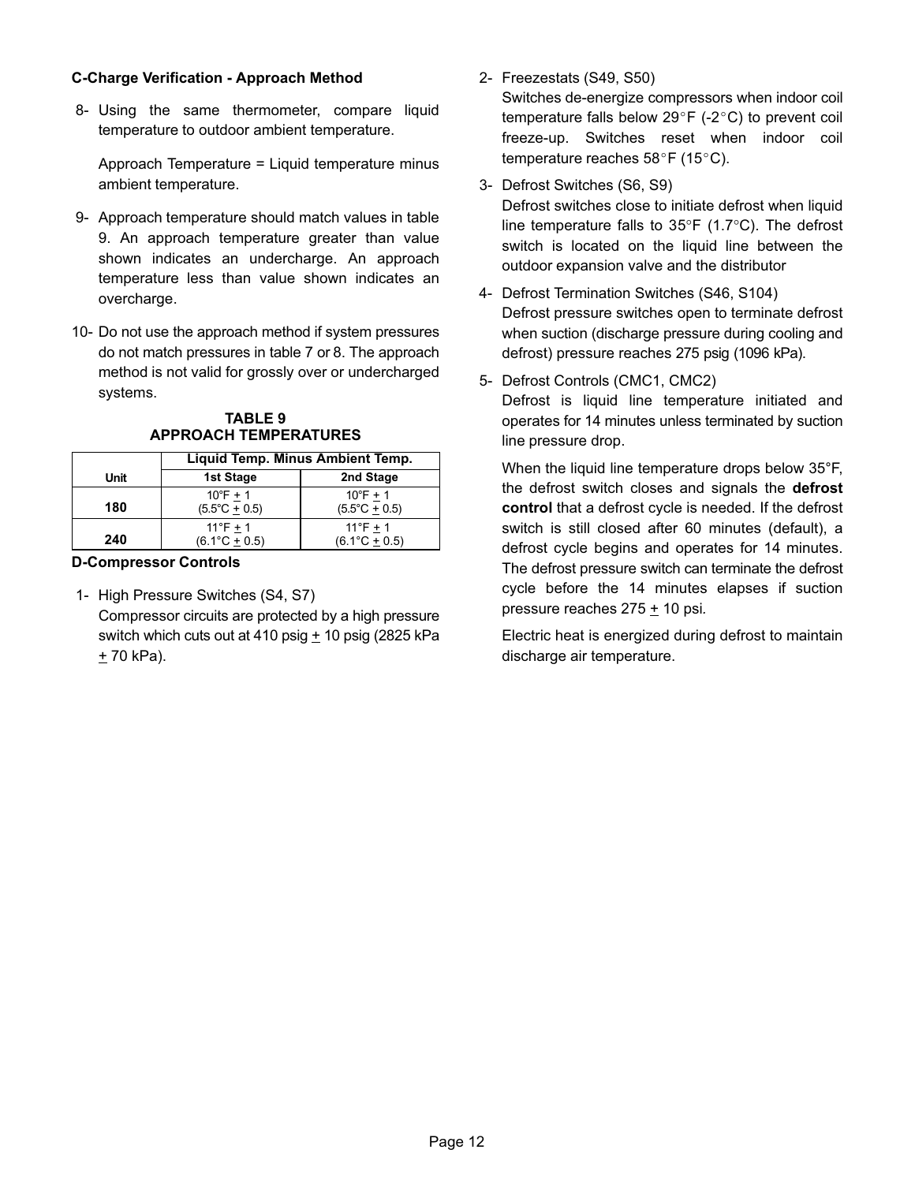#### C−Charge Verification − Approach Method

 8− Using the same thermometer, compare liquid temperature to outdoor ambient temperature.

Approach Temperature = Liquid temperature minus ambient temperature.

- 9− Approach temperature should match values in table 9. An approach temperature greater than value shown indicates an undercharge. An approach temperature less than value shown indicates an overcharge.
- 10− Do not use the approach method if system pressures do not match pressures in table [7](#page-11-0) or [8](#page-11-0). The approach method is not valid for grossly over or undercharged systems.

#### TABLE 9 APPROACH TEMPERATURES

|      | Liquid Temp. Minus Ambient Temp.             |                                              |  |
|------|----------------------------------------------|----------------------------------------------|--|
| Unit | 1st Stage                                    | 2nd Stage                                    |  |
| 180  | $10^{\circ}$ F + 1<br>$(5.5^{\circ}C + 0.5)$ | $10^{\circ}$ F + 1<br>$(5.5^{\circ}C + 0.5)$ |  |
| 240  | $11^{\circ}F + 1$<br>$(6.1^{\circ}C + 0.5)$  | $11^{\circ}F + 1$<br>$(6.1^{\circ}C + 0.5)$  |  |

#### D−Compressor Controls

 1− High Pressure Switches (S4, S7) Compressor circuits are protected by a high pressure switch which cuts out at 410 psig  $+$  10 psig (2825 kPa  $± 70$  kPa).

2− Freezestats (S49, S50)

Switches de−energize compressors when indoor coil temperature falls below 29°F (-2°C) to prevent coil freeze−up. Switches reset when indoor coil temperature reaches  $58^{\circ}$ F (15 $^{\circ}$ C).

3− Defrost Switches (S6, S9)

Defrost switches close to initiate defrost when liquid line temperature falls to 35°F (1.7°C). The defrost switch is located on the liquid line between the outdoor expansion valve and the distributor

- 4− Defrost Termination Switches (S46, S104) Defrost pressure switches open to terminate defrost when suction (discharge pressure during cooling and defrost) pressure reaches 275 psig (1096 kPa).
- 5− Defrost Controls (CMC1, CMC2)

Defrost is liquid line temperature initiated and operates for 14 minutes unless terminated by suction line pressure drop.

When the liquid line temperature drops below 35°F, the defrost switch closes and signals the defrost control that a defrost cycle is needed. If the defrost switch is still closed after 60 minutes (default), a defrost cycle begins and operates for 14 minutes. The defrost pressure switch can terminate the defrost cycle before the 14 minutes elapses if suction pressure reaches  $275 \pm 10$  psi.

Electric heat is energized during defrost to maintain discharge air temperature.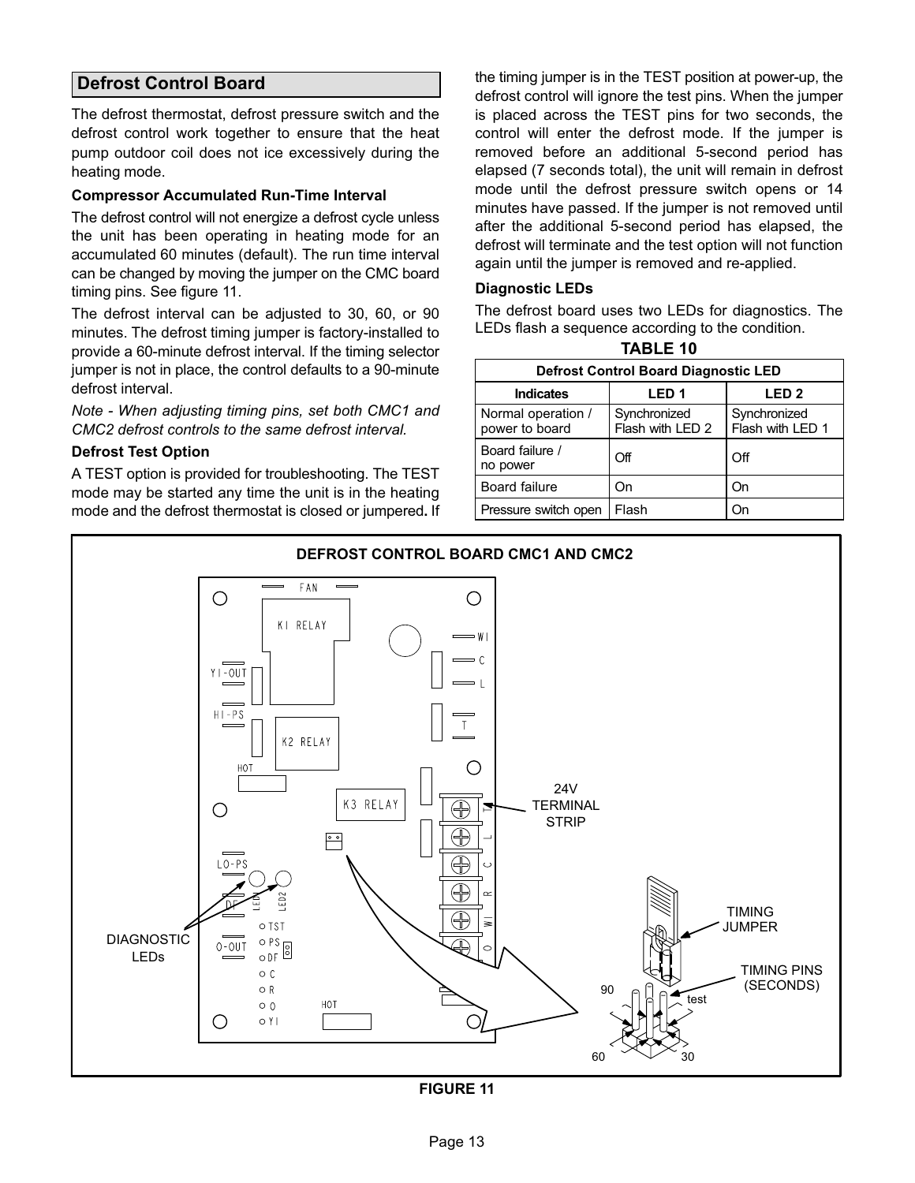## Defrost Control Board

The defrost thermostat, defrost pressure switch and the defrost control work together to ensure that the heat pump outdoor coil does not ice excessively during the heating mode.

#### Compressor Accumulated Run−Time Interval

The defrost control will not energize a defrost cycle unless the unit has been operating in heating mode for an accumulated 60 minutes (default). The run time interval can be changed by moving the jumper on the CMC board timing pins. See figure 11.

The defrost interval can be adjusted to 30, 60, or 90 minutes. The defrost timing jumper is factory−installed to provide a 60−minute defrost interval. If the timing selector jumper is not in place, the control defaults to a 90−minute defrost interval.

Note − When adjusting timing pins, set both CMC1 and CMC2 defrost controls to the same defrost interval.

#### Defrost Test Option

A TEST option is provided for troubleshooting. The TEST mode may be started any time the unit is in the heating mode and the defrost thermostat is closed or jumpered. If the timing jumper is in the TEST position at power-up, the defrost control will ignore the test pins. When the jumper is placed across the TEST pins for two seconds, the control will enter the defrost mode. If the jumper is removed before an additional 5−second period has elapsed (7 seconds total), the unit will remain in defrost mode until the defrost pressure switch opens or 14 minutes have passed. If the jumper is not removed until after the additional 5−second period has elapsed, the defrost will terminate and the test option will not function again until the jumper is removed and re−applied.

#### Diagnostic LEDs

The defrost board uses two LEDs for diagnostics. The LEDs flash a sequence according to the condition. TABLE 10

| <b>Defrost Control Board Diagnostic LED</b> |                                  |                                  |  |  |  |  |
|---------------------------------------------|----------------------------------|----------------------------------|--|--|--|--|
| <b>Indicates</b>                            | LED <sub>1</sub>                 | LED <sub>2</sub>                 |  |  |  |  |
| Normal operation /<br>power to board        | Synchronized<br>Flash with LED 2 | Synchronized<br>Flash with LED 1 |  |  |  |  |
| Board failure /<br>no power                 | Off                              | Off                              |  |  |  |  |
| <b>Board failure</b>                        | On                               | On                               |  |  |  |  |
| Pressure switch open                        | Flash                            | On                               |  |  |  |  |



FIGURE 11